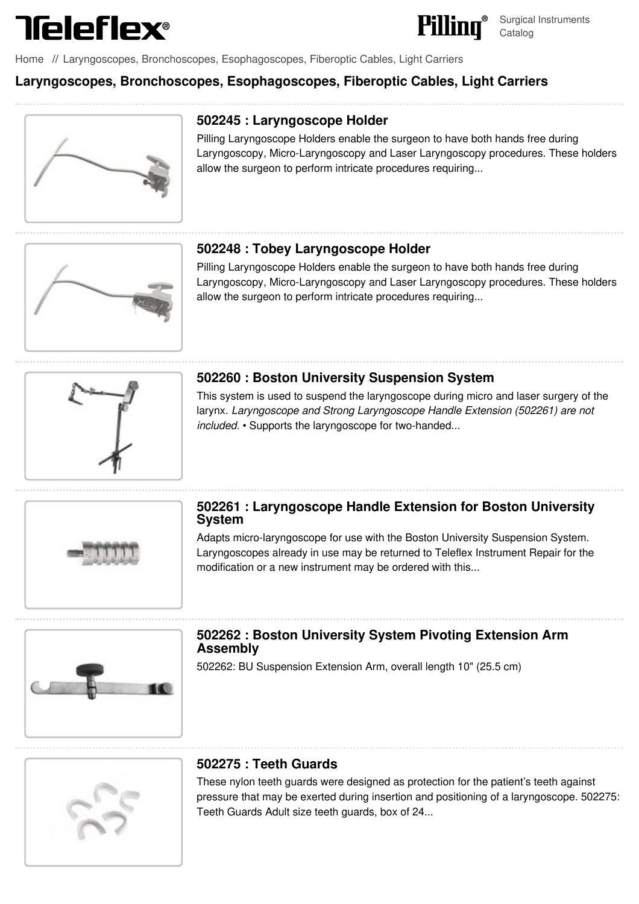



[Home](file:///surgical/pilling/home) // Laryngoscopes, Bronchoscopes, [Esophagoscopes,](file:///surgical/pilling/products?category=34%2C64%2C67%2C85%2C90&parent_id=22) Fiberoptic Cables, Light Carriers

## **Laryngoscopes, Bronchoscopes, Esophagoscopes, Fiberoptic Cables, Light Carriers**



### **502245 : [Laryngoscope](file:///pilling/product/502245-laryngoscope-holder--13) Holder**

Pilling Laryngoscope Holders enable the surgeon to have both hands free during Laryngoscopy, Micro-Laryngoscopy and Laser Laryngoscopy procedures. These holders allow the surgeon to perform intricate procedures requiring...



#### **502248 : Tobey [Laryngoscope](file:///pilling/product/502248-tobey-laryngoscope-holder--13) Holder**

Pilling Laryngoscope Holders enable the surgeon to have both hands free during Laryngoscopy, Micro-Laryngoscopy and Laser Laryngoscopy procedures. These holders allow the surgeon to perform intricate procedures requiring...



#### **502260 : Boston University [Suspension](file:///pilling/product/502260-boston-university-suspension-system--13) System**

This system is used to suspend the laryngoscope during micro and laser surgery of the larynx. *Laryngoscope and Strong Laryngoscope Handle Extension (502261) are not included.* • Supports the laryngoscope for two-handed...



#### **502261 : [Laryngoscope](file:///pilling/product/502261-laryngoscope-handle-extension-for-boston-university-system--13) Handle Extension for Boston University System**

Adapts micro-laryngoscope for use with the Boston University Suspension System. Laryngoscopes already in use may be returned to Teleflex Instrument Repair for the modification or a new instrument may be ordered with this...



## **502262 : Boston [University](file:///pilling/product/502262-boston-university-system-pivoting-extension-arm-assembly--13) System Pivoting Extension Arm Assembly**

502262: BU Suspension Extension Arm, overall length 10" (25.5 cm)



#### **502275 : Teeth Guards**

These nylon teeth guards were designed as protection for the patient's teeth against pressure that may be exerted during insertion and positioning of a [laryngoscope.](file:///pilling/product/502275-teeth-guards--13) 502275: Teeth Guards Adult size teeth guards, box of 24...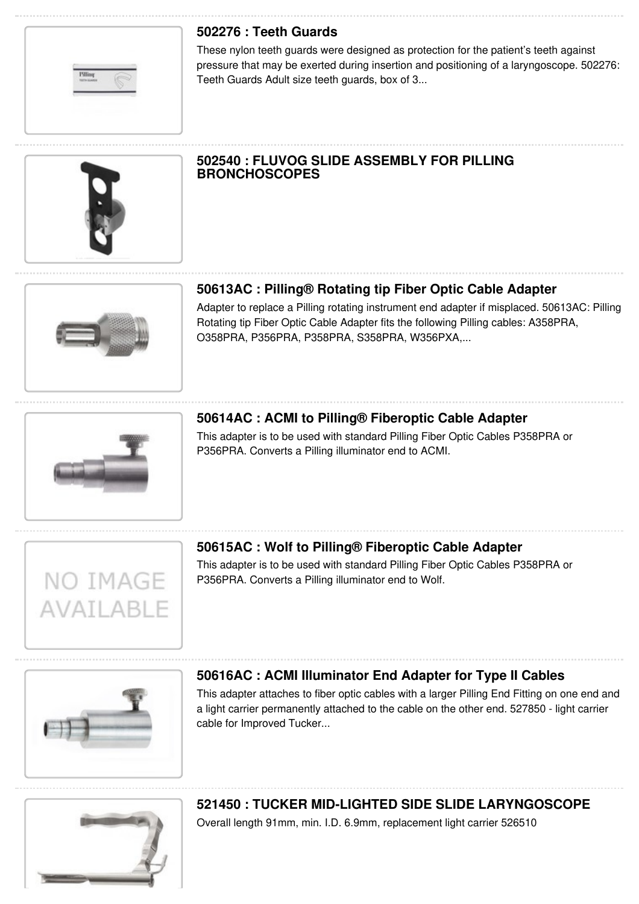## **502276 : Teeth Guards**

These nylon teeth guards were designed as protection for the patient's teeth against pressure that may be exerted during insertion and positioning of a [laryngoscope.](file:///pilling/product/502276-teeth-guards--13) 502276: Teeth Guards Adult size teeth guards, box of 3...



#### **502540 : FLUVOG SLIDE ASSEMBLY FOR PILLING [BRONCHOSCOPES](file:///pilling/product/502540-fluvog-slide-assembly-for-pilling-bronchoscopes)**

# **[50613AC](file:///pilling/product/50613ac-pilling-rotating-tip-fiber-optic-cable-adapter) : Pilling® Rotating tip Fiber Optic Cable Adapter**

Adapter to replace a Pilling rotating instrument end adapter if misplaced. 50613AC: Pilling Rotating tip Fiber Optic Cable Adapter fits the following Pilling cables: A358PRA, O358PRA, P356PRA, P358PRA, S358PRA, W356PXA,...

NO IMAGE

**AVATLABLE** 

## **50614AC : ACMI to Pilling® [Fiberoptic](file:///pilling/product/50614ac-acmi-to-pilling-fiberoptic-cable-adapter) Cable Adapter**

This adapter is to be used with standard Pilling Fiber Optic Cables P358PRA or P356PRA. Converts a Pilling illuminator end to ACMI.



This adapter is to be used with standard Pilling Fiber Optic Cables P358PRA or P356PRA. Converts a Pilling illuminator end to Wolf.



## **50616AC : ACMI [Illuminator](file:///pilling/product/50616ac-acmi-illuminator-end-adapter-for-type-ii-cables) End Adapter for Type II Cables**

This adapter attaches to fiber optic cables with a larger Pilling End Fitting on one end and a light carrier permanently attached to the cable on the other end. 527850 - light carrier cable for Improved Tucker...



# **521450 : TUCKER MID-LIGHTED SIDE SLIDE [LARYNGOSCOPE](file:///pilling/product/521450-tucker-mid-lighted-side-slide-laryngoscope--13)**

Overall length 91mm, min. I.D. 6.9mm, replacement light carrier 526510

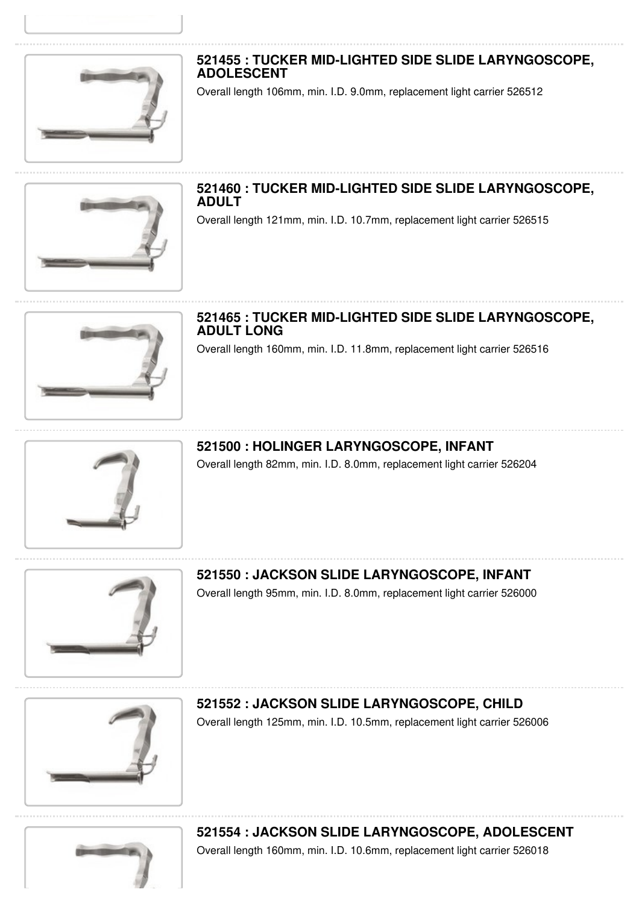

# **521455 : TUCKER MID-LIGHTED SIDE SLIDE [LARYNGOSCOPE,](file:///pilling/product/521455-tucker-mid-lighted-side-slide-laryngoscope-adolescent--13) ADOLESCENT**

Overall length 106mm, min. I.D. 9.0mm, replacement light carrier 526512



**521460 : TUCKER MID-LIGHTED SIDE SLIDE [LARYNGOSCOPE,](file:///pilling/product/521460-tucker-mid-lighted-side-slide-laryngoscope-adult--13) ADULT** Overall length 121mm, min. I.D. 10.7mm, replacement light carrier 526515

**521465 : TUCKER MID-LIGHTED SIDE SLIDE [LARYNGOSCOPE,](file:///pilling/product/521465-tucker-mid-lighted-side-slide-laryngoscope-adult-long--13) ADULT LONG** Overall length 160mm, min. I.D. 11.8mm, replacement light carrier 526516

**521500 : HOLINGER [LARYNGOSCOPE,](file:///pilling/product/521500-holinger-laryngoscope-infant--13) INFANT** Overall length 82mm, min. I.D. 8.0mm, replacement light carrier 526204



**521550 : JACKSON SLIDE [LARYNGOSCOPE,](file:///pilling/product/521550-jackson-slide-laryngoscope-infant--13) INFANT** Overall length 95mm, min. I.D. 8.0mm, replacement light carrier 526000



**521552 : JACKSON SLIDE [LARYNGOSCOPE,](file:///pilling/product/521552-jackson-slide-laryngoscope-child--13) CHILD** Overall length 125mm, min. I.D. 10.5mm, replacement light carrier 526006



**521554 : JACKSON SLIDE [LARYNGOSCOPE,](file:///pilling/product/521554-jackson-slide-laryngoscope-adolescent--13) ADOLESCENT** Overall length 160mm, min. I.D. 10.6mm, replacement light carrier 526018